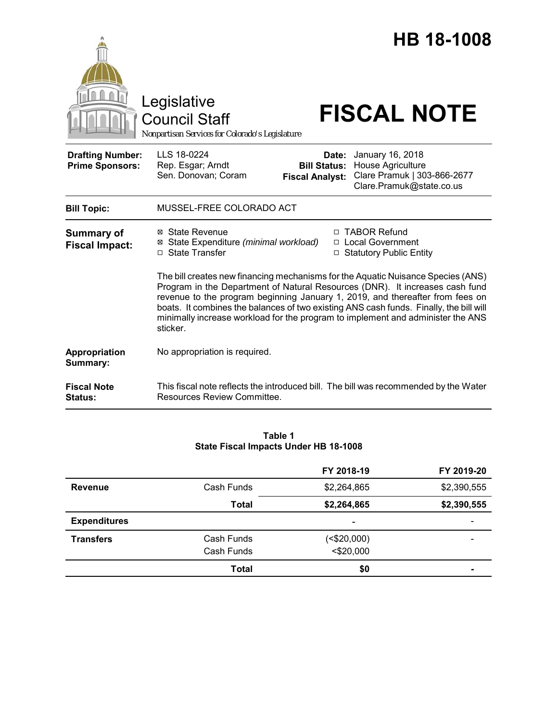|                                                   | Legislative<br><b>Council Staff</b><br>Nonpartisan Services for Colorado's Legislature                                                                                                                                                                                                                                                                                                                                                     |                                                        | <b>HB 18-1008</b><br><b>FISCAL NOTE</b>                                                          |
|---------------------------------------------------|--------------------------------------------------------------------------------------------------------------------------------------------------------------------------------------------------------------------------------------------------------------------------------------------------------------------------------------------------------------------------------------------------------------------------------------------|--------------------------------------------------------|--------------------------------------------------------------------------------------------------|
| <b>Drafting Number:</b><br><b>Prime Sponsors:</b> | LLS 18-0224<br>Rep. Esgar; Arndt<br>Sen. Donovan; Coram                                                                                                                                                                                                                                                                                                                                                                                    | Date:<br><b>Bill Status:</b><br><b>Fiscal Analyst:</b> | January 16, 2018<br>House Agriculture<br>Clare Pramuk   303-866-2677<br>Clare.Pramuk@state.co.us |
| <b>Bill Topic:</b>                                | MUSSEL-FREE COLORADO ACT                                                                                                                                                                                                                                                                                                                                                                                                                   |                                                        |                                                                                                  |
| <b>Summary of</b><br><b>Fiscal Impact:</b>        | ⊠ State Revenue<br>⊠ State Expenditure (minimal workload)<br>□ State Transfer                                                                                                                                                                                                                                                                                                                                                              | $\Box$                                                 | <b>TABOR Refund</b><br>□ Local Government<br>□ Statutory Public Entity                           |
|                                                   | The bill creates new financing mechanisms for the Aquatic Nuisance Species (ANS)<br>Program in the Department of Natural Resources (DNR). It increases cash fund<br>revenue to the program beginning January 1, 2019, and thereafter from fees on<br>boats. It combines the balances of two existing ANS cash funds. Finally, the bill will<br>minimally increase workload for the program to implement and administer the ANS<br>sticker. |                                                        |                                                                                                  |
| Appropriation<br>Summary:                         | No appropriation is required.                                                                                                                                                                                                                                                                                                                                                                                                              |                                                        |                                                                                                  |
| <b>Fiscal Note</b><br><b>Status:</b>              | Resources Review Committee.                                                                                                                                                                                                                                                                                                                                                                                                                |                                                        | This fiscal note reflects the introduced bill. The bill was recommended by the Water             |

## **Table 1 State Fiscal Impacts Under HB 18-1008**

|                     |                          | FY 2018-19        | FY 2019-20               |
|---------------------|--------------------------|-------------------|--------------------------|
| <b>Revenue</b>      | Cash Funds               | \$2,264,865       | \$2,390,555              |
|                     | <b>Total</b>             | \$2,264,865       | \$2,390,555              |
| <b>Expenditures</b> |                          | ۰                 | $\overline{\phantom{0}}$ |
| <b>Transfers</b>    | Cash Funds<br>Cash Funds | (<br>$<$ \$20,000 |                          |
|                     | Total                    | \$0               |                          |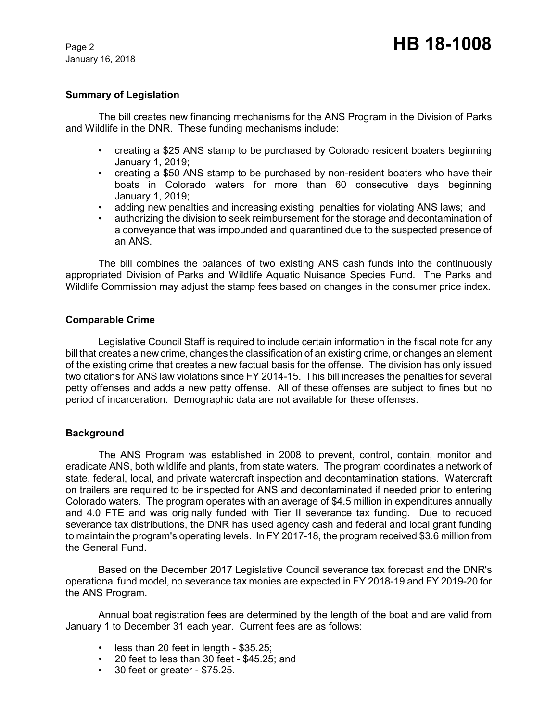January 16, 2018

# **Summary of Legislation**

The bill creates new financing mechanisms for the ANS Program in the Division of Parks and Wildlife in the DNR. These funding mechanisms include:

- creating a \$25 ANS stamp to be purchased by Colorado resident boaters beginning January 1, 2019;
- creating a \$50 ANS stamp to be purchased by non-resident boaters who have their boats in Colorado waters for more than 60 consecutive days beginning January 1, 2019;
- adding new penalties and increasing existing penalties for violating ANS laws; and
- authorizing the division to seek reimbursement for the storage and decontamination of a conveyance that was impounded and quarantined due to the suspected presence of an ANS.

The bill combines the balances of two existing ANS cash funds into the continuously appropriated Division of Parks and Wildlife Aquatic Nuisance Species Fund. The Parks and Wildlife Commission may adjust the stamp fees based on changes in the consumer price index.

## **Comparable Crime**

Legislative Council Staff is required to include certain information in the fiscal note for any bill that creates a new crime, changes the classification of an existing crime, or changes an element of the existing crime that creates a new factual basis for the offense. The division has only issued two citations for ANS law violations since FY 2014-15. This bill increases the penalties for several petty offenses and adds a new petty offense. All of these offenses are subject to fines but no period of incarceration. Demographic data are not available for these offenses.

## **Background**

The ANS Program was established in 2008 to prevent, control, contain, monitor and eradicate ANS, both wildlife and plants, from state waters. The program coordinates a network of state, federal, local, and private watercraft inspection and decontamination stations. Watercraft on trailers are required to be inspected for ANS and decontaminated if needed prior to entering Colorado waters. The program operates with an average of \$4.5 million in expenditures annually and 4.0 FTE and was originally funded with Tier II severance tax funding. Due to reduced severance tax distributions, the DNR has used agency cash and federal and local grant funding to maintain the program's operating levels. In FY 2017-18, the program received \$3.6 million from the General Fund.

Based on the December 2017 Legislative Council severance tax forecast and the DNR's operational fund model, no severance tax monies are expected in FY 2018-19 and FY 2019-20 for the ANS Program.

Annual boat registration fees are determined by the length of the boat and are valid from January 1 to December 31 each year. Current fees are as follows:

- less than 20 feet in length \$35.25;
- 20 feet to less than 30 feet \$45.25; and
- 30 feet or greater \$75.25.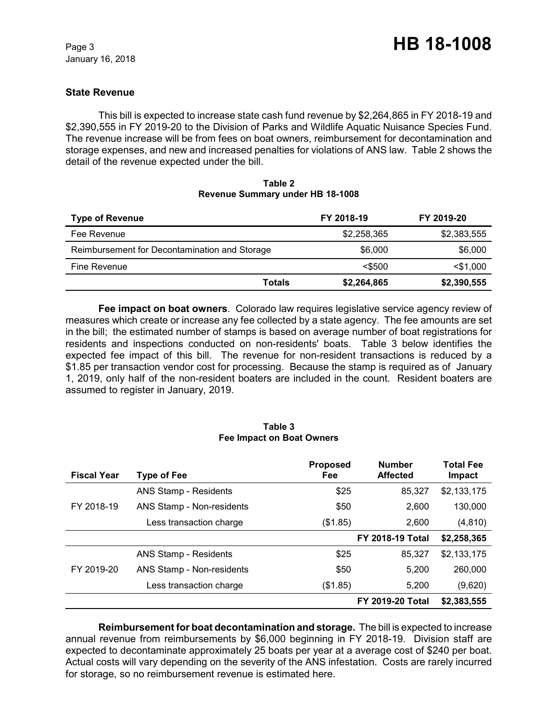January 16, 2018

## **State Revenue**

This bill is expected to increase state cash fund revenue by \$2,264,865 in FY 2018-19 and \$2,390,555 in FY 2019-20 to the Division of Parks and Wildlife Aquatic Nuisance Species Fund. The revenue increase will be from fees on boat owners, reimbursement for decontamination and storage expenses, and new and increased penalties for violations of ANS law. Table 2 shows the detail of the revenue expected under the bill.

#### **Table 2 Revenue Summary under HB 18-1008**

| <b>Type of Revenue</b>                        | FY 2018-19  | FY 2019-20  |  |
|-----------------------------------------------|-------------|-------------|--|
| Fee Revenue                                   | \$2,258,365 | \$2,383,555 |  |
| Reimbursement for Decontamination and Storage | \$6,000     | \$6,000     |  |
| Fine Revenue                                  | $<$ \$500   | $<$ \$1,000 |  |
| Totals                                        | \$2,264,865 | \$2,390,555 |  |

**Fee impact on boat owners**. Colorado law requires legislative service agency review of measures which create or increase any fee collected by a state agency. The fee amounts are set in the bill; the estimated number of stamps is based on average number of boat registrations for residents and inspections conducted on non-residents' boats. Table 3 below identifies the expected fee impact of this bill. The revenue for non-resident transactions is reduced by a \$1.85 per transaction vendor cost for processing. Because the stamp is required as of January 1, 2019, only half of the non-resident boaters are included in the count. Resident boaters are assumed to register in January, 2019.

## **Table 3 Fee Impact on Boat Owners**

| <b>Fiscal Year</b> | <b>Type of Fee</b>        | <b>Proposed</b><br>Fee | <b>Number</b><br><b>Affected</b> | <b>Total Fee</b><br>Impact |
|--------------------|---------------------------|------------------------|----------------------------------|----------------------------|
|                    | ANS Stamp - Residents     | \$25                   | 85,327                           | \$2,133,175                |
| FY 2018-19         | ANS Stamp - Non-residents | \$50                   | 2,600                            | 130,000                    |
|                    | Less transaction charge   | (\$1.85)               | 2,600                            | (4, 810)                   |
|                    |                           |                        | <b>FY 2018-19 Total</b>          | \$2,258,365                |
| FY 2019-20         | ANS Stamp - Residents     | \$25                   | 85,327                           | \$2,133,175                |
|                    | ANS Stamp - Non-residents | \$50                   | 5.200                            | 260,000                    |
|                    | Less transaction charge   | (\$1.85)               | 5,200                            | (9,620)                    |
|                    |                           |                        | <b>FY 2019-20 Total</b>          | \$2,383,555                |

**Reimbursement for boat decontamination and storage.** The bill is expected to increase annual revenue from reimbursements by \$6,000 beginning in FY 2018-19. Division staff are expected to decontaminate approximately 25 boats per year at a average cost of \$240 per boat. Actual costs will vary depending on the severity of the ANS infestation. Costs are rarely incurred for storage, so no reimbursement revenue is estimated here.